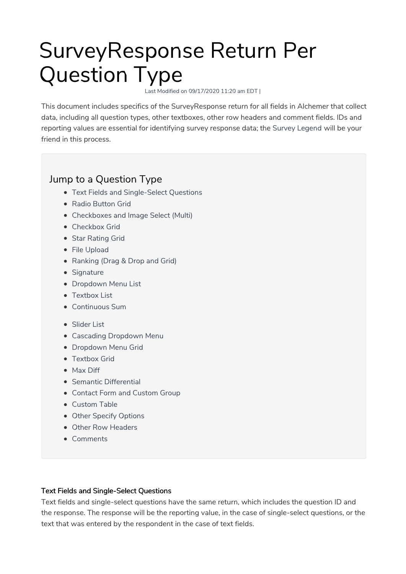# SurveyResponse Return Per Question Type

Last Modified on 09/17/2020 11:20 am EDT |

This document includes specifics of the SurveyResponse return for all fields in Alchemer that collect data, including all question types, other textboxes, other row headers and comment fields. IDs and reporting values are essential for identifying survey response data; the Survey Legend will be your friend in this process.

# Jump to a Question Type

- Text Fields and Single-Select Questions
- Radio Button Grid
- Checkboxes and Image Select (Multi)
- Checkbox Grid
- Star Rating Grid
- File Upload
- Ranking (Drag & Drop and Grid)
- Signature
- Dropdown Menu List
- Textbox List
- Continuous Sum
- Slider List
- Cascading Dropdown Menu
- **Dropdown Menu Grid**
- Textbox Grid
- Max Diff
- Semantic Differential
- Contact Form and Custom Group
- Custom Table
- Other Specify Options
- Other Row Headers
- Comments

# Text Fields and Single-Select Questions

Text fields and single-select questions have the same return, which includes the question ID and the response. The response will be the reporting value, in the case of single-select questions, or the text that was entered by the respondent in the case of text fields.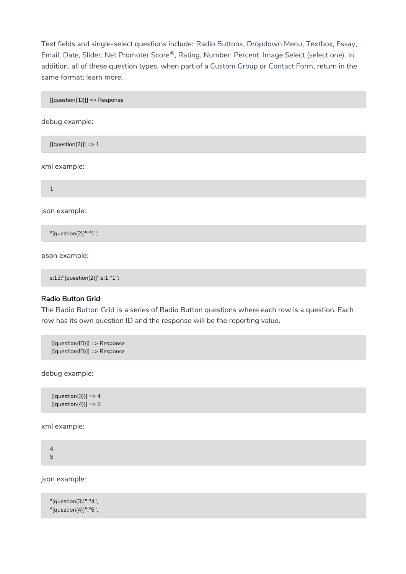Text fields and single-select questions include: Radio Buttons, Dropdown Menu, Textbox, Essay, Email, Date, Slider, Net Promoter Score®, Rating, Number, Percent, Image Select (select one). In addition, all of these question types, when part of a Custom Group or Contact Form, return in the same format; learn more.

[[question(ID)]] => Response

debug example:

 $[[question(2)]] => 1$ 

xml example:

1

json example:

"[question(2)]":"1",

pson example:

s:13:"[question(2)]";s:1:"1";

# Radio Button Grid

The Radio Button Grid is a series of Radio Button questions where each row is a question. Each row has its own question ID and the response will be the reporting value.

[[question(ID)]] => Response [[question(ID)]] => Response

debug example:

 $[[question(3)]] => 4$  $[[question(4)]] => 5$ 

xml example:

4 5

json example:

"[question(3)]":"4", "[question(4)]":"5",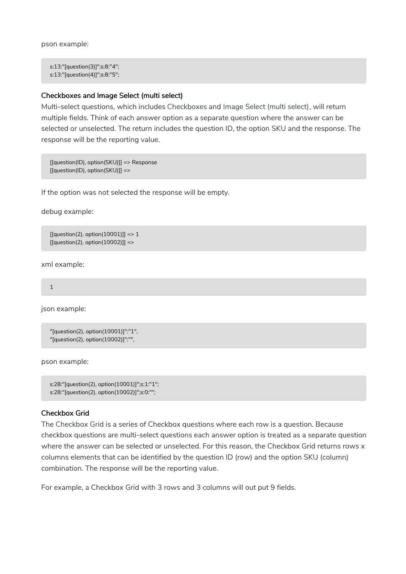pson example:

s:13:"[question(3)]";s:8:"4"; s:13:"[question(4)]";s:8:"5";

#### Checkboxes and Image Select (multi select)

Multi-select questions, which includes Checkboxes and Image Select (multi select), will return multiple fields. Think of each answer option as a separate question where the answer can be selected or unselected. The return includes the question ID, the option SKU and the response. The response will be the reporting value.

[[question(ID), option(SKU)]] => Response [[question(ID), option(SKU)]] =>

If the option was not selected the response will be empty.

debug example:

 $[[question(2), option(10001)]] => 1$  $[[question(2), option(10002)]] =$ 

xml example:

1

json example:

```
"[question(2), option(10001)]":"1",
"[question(2), option(10002)]":"",
```
pson example:

```
s:28:"[question(2), option(10001)]";s:1:"1";
s:28:"[question(2), option(10002)]";s:0:"";
```
#### Checkbox Grid

The Checkbox Grid is a series of Checkbox questions where each row is a question. Because checkbox questions are multi-select questions each answer option is treated as a separate question where the answer can be selected or unselected. For this reason, the Checkbox Grid returns rows x columns elements that can be identified by the question ID (row) and the option SKU (column) combination. The response will be the reporting value.

For example, a Checkbox Grid with 3 rows and 3 columns will out put 9 fields.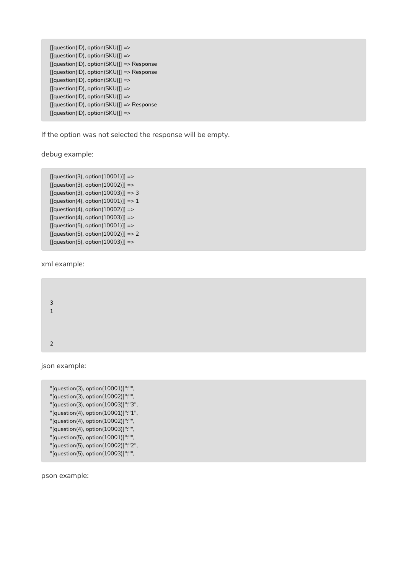```
[[question(ID), option(SKU)]] =>
[[question(ID), option(SKU)]] =>
[[question(ID), option(SKU)]] => Response
[[question(ID), option(SKU)]] => Response
[[question(ID), option(SKU)]] =>
[[question(ID), option(SKU)]] =>
[[question(ID), option(SKU)]] =>
[[question(ID), option(SKU)]] => Response
[[question(ID), option(SKU)]] =>
```
If the option was not selected the response will be empty.

debug example:

```
[[question(3), option(10001)]] =>
[[question(3), option(10002)]] =>
[[question(3), option(10003)]] => 3
[[question(4), option(10001)]] => 1
[[question(4), option(10002)]] =>
[[question(4), option(10003)]] =>
[[question(5), option(10001)]] =>
[[question(5), option(10002)]] => 2
[[question(5), option(10003)]] = >
```
xml example:

3 1 2

json example:

```
"[question(3), option(10001)]":"",
"[question(3), option(10002)]":"",
"[question(3), option(10003)]":"3",
"[question(4), option(10001)]":"1",
"[question(4), option(10002)]":"",
"[question(4), option(10003)]":"",
"[question(5), option(10001)]":"",
"[question(5), option(10002)]":"2",
"[question(5), option(10003)]":"",
```
pson example: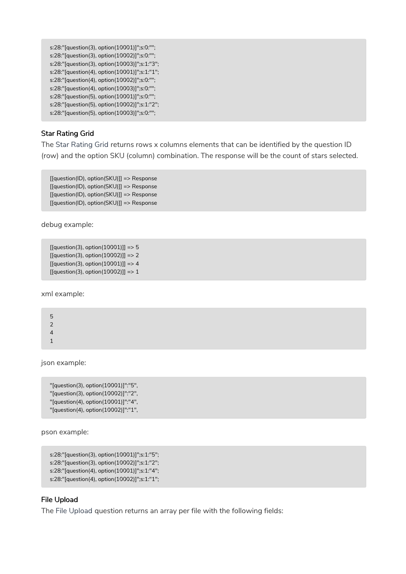```
s:28:"[question(3), option(10001)]";s:0:"";
s:28:"[question(3), option(10002)]";s:0:"";
s:28:"[question(3), option(10003)]";s:1:"3";
s:28:"[question(4), option(10001)]";s:1:"1";
s:28:"[question(4), option(10002)]";s:0:"";
s:28:"[question(4), option(10003)]";s:0:"";
s:28:"[question(5), option(10001)]";s:0:"";
s:28:"[question(5), option(10002)]";s:1:"2";
s:28:"[question(5), option(10003)]";s:0:"";
```
# Star Rating Grid

The Star Rating Grid returns rows x columns elements that can be identified by the question ID (row) and the option SKU (column) combination. The response will be the count of stars selected.

[[question(ID), option(SKU)]] => Response [[question(ID), option(SKU)]] => Response [[question(ID), option(SKU)]] => Response [[question(ID), option(SKU)]] => Response

debug example:

```
[[question(3), option(10001)]] => 5
[[question(3), option(10002)]] => 2
[[question(3), option(10001)]] => 4
[[question(3), option(10002)]] => 1
```
xml example:

| 5 |
|---|
| 2 |
| 4 |
| 1 |

json example:

```
"[question(3), option(10001)]":"5",
"[question(3), option(10002)]":"2",
"[question(4), option(10001)]":"4",
"[question(4), option(10002)]":"1",
```
pson example:

s:28:"[question(3), option(10001)]";s:1:"5"; s:28:"[question(3), option(10002)]";s:1:"2"; s:28:"[question(4), option(10001)]";s:1:"4"; s:28:"[question(4), option(10002)]";s:1:"1";

#### File Upload

The File Upload question returns an array per file with the following fields: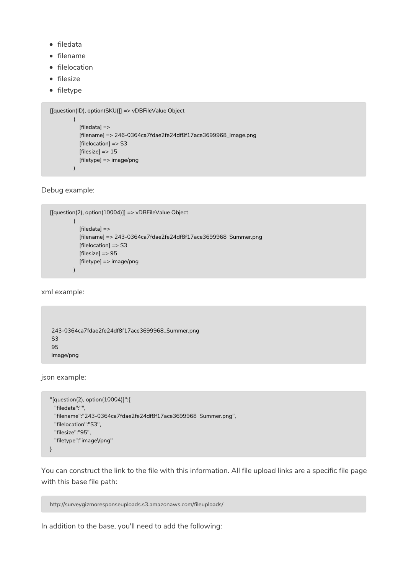- filedata
- $\bullet$  filename
- filelocation
- $\bullet$  filesize
- filetype

```
[[question(ID), option(SKU)]] => vDBFileValue Object
         \left([filedata] =>
           [filename] => 246-0364ca7fdae2fe24df8f17ace3699968_Image.png
           [filelocation] => S3
           [filesize] => 15
           [filetype] => image/png
        )
```
Debug example:

```
[[question(2), option(10004)]] => vDBFileValue Object
        (
           [filedata] =>
           [filename] => 243-0364ca7fdae2fe24df8f17ace3699968_Summer.png
          [filelocation] => S3
          [filesize] => 95
          [filetype] => image/png
        )
```
xml example:

```
243-0364ca7fdae2fe24df8f17ace3699968_Summer.png
S3
95
image/png
```
json example:

```
"[question(2), option(10004)]":{
  "filedata":"",
  "filename":"243-0364ca7fdae2fe24df8f17ace3699968_Summer.png",
  "filelocation":"S3",
  "filesize":"95",
  "filetype":"image\/png"
}
```
You can construct the link to the file with this information. All file upload links are a specific file page with this base file path:

```
http://surveygizmoresponseuploads.s3.amazonaws.com/fileuploads/
```
In addition to the base, you'll need to add the following: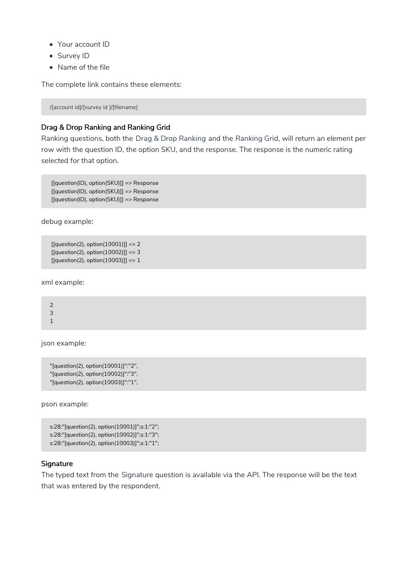- Your account ID
- Survey ID
- Name of the file

The complete link contains these elements:

/[account id]/[survey id ]/[filename]

# Drag & Drop Ranking and Ranking Grid

Ranking questions, both the Drag & Drop Ranking and the Ranking Grid, will return an element per row with the question ID, the option SKU, and the response. The response is the numeric rating selected for that option.

[[question(ID), option(SKU)]] => Response [[question(ID), option(SKU)]] => Response [[question(ID), option(SKU)]] => Response

debug example:

```
[[question(2), option(10001)]] => 2
[[question(2), option(10002)]] => 3
[[question(2), option(10003)]] => 1
```
xml example:

2 3 1

json example:

```
"[question(2), option(10001)]":"2",
"[question(2), option(10002)]":"3",
"[question(2), option(10003)]":"1",
```
pson example:

```
s:28:"[question(2), option(10001)]";s:1:"2";
s:28:"[question(2), option(10002)]";s:1:"3";
s:28:"[question(2), option(10003)]";s:1:"1";
```
#### **Signature**

The typed text from the Signature question is available via the API. The response will be the text that was entered by the respondent.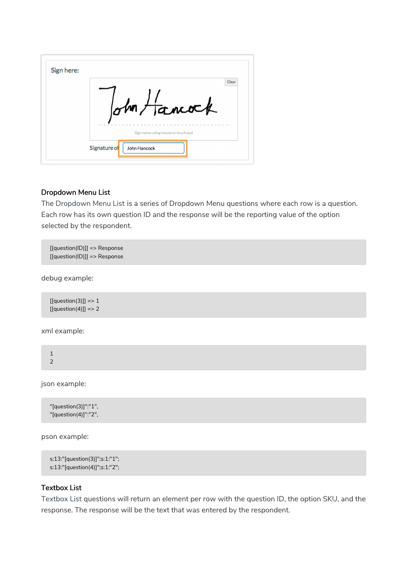|  | ohn Hancock<br>Sign name using mouse or touch pad |
|--|---------------------------------------------------|

# Dropdown Menu List

The Dropdown Menu List is a series of Dropdown Menu questions where each row is a question. Each row has its own question ID and the response will be the reporting value of the option selected by the respondent.

[[question(ID)]] => Response [[question(ID)]] => Response

debug example:

 $[[question(3)]] => 1$  $[[question(4)]] => 2$ 

xml example:

1 2

json example:

"[question(3)]":"1", "[question(4)]":"2",

pson example:

```
s:13:"[question(3)]";s:1:"1";
s:13:"[question(4)]";s:1:"2";
```
# Textbox List

Textbox List questions will return an element per row with the question ID, the option SKU, and the response. The response will be the text that was entered by the respondent.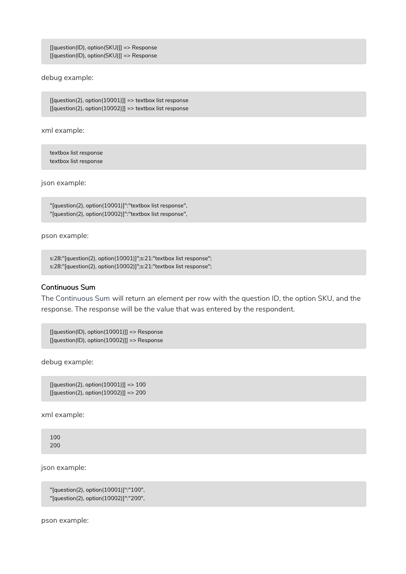[[question(ID), option(SKU)]] => Response [[question(ID), option(SKU)]] => Response

debug example:

 $[[question(2), option(10001)]] => textbox list response]$  $[$ [question(2), option(10002)]] => textbox list response

xml example:

textbox list response textbox list response

json example:

"[question(2), option(10001)]":"textbox list response", "[question(2), option(10002)]":"textbox list response",

pson example:

```
s:28:"[question(2), option(10001)]";s:21:"textbox list response";
s:28:"[question(2), option(10002)]";s:21:"textbox list response";
```
# Continuous Sum

The Continuous Sum will return an element per row with the question ID, the option SKU, and the response. The response will be the value that was entered by the respondent.

[[question(ID), option(10001)]] => Response [[question(ID), option(10002)]] => Response

debug example:

```
[[[question(2), option(10001)]] => 100
[[[question(2), option(10002)]] => 200
```
xml example:

100 200

json example:

```
"[question(2), option(10001)]":"100",
"[question(2), option(10002)]":"200",
```
pson example: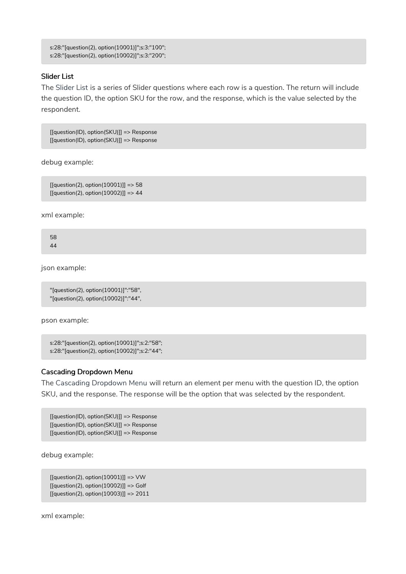```
s:28:"[question(2), option(10001)]";s:3:"100";
s:28:"[question(2), option(10002)]";s:3:"200";
```
# Slider List

The Slider List is a series of Slider questions where each row is a question. The return will include the question ID, the option SKU for the row, and the response, which is the value selected by the respondent.

[[question(ID), option(SKU)]] => Response [[question(ID), option(SKU)]] => Response

debug example:

```
[[question(2), option(10001)]] => 58[[question(2), option(10002)]] => 44
```
xml example:

58 44

json example:

"[question(2), option(10001)]":"58", "[question(2), option(10002)]":"44",

pson example:

```
s:28:"[question(2), option(10001)]";s:2:"58";
s:28:"[question(2), option(10002)]";s:2:"44";
```
# Cascading Dropdown Menu

The Cascading Dropdown Menu will return an element per menu with the question ID, the option SKU, and the response. The response will be the option that was selected by the respondent.

[[question(ID), option(SKU)]] => Response [[question(ID), option(SKU)]] => Response [[question(ID), option(SKU)]] => Response

debug example:

```
[[question(2), option(10001)]] => VW[[question(2), option(10002)]] => Golf[[question(2), option(10003)]] => 2011
```
xml example: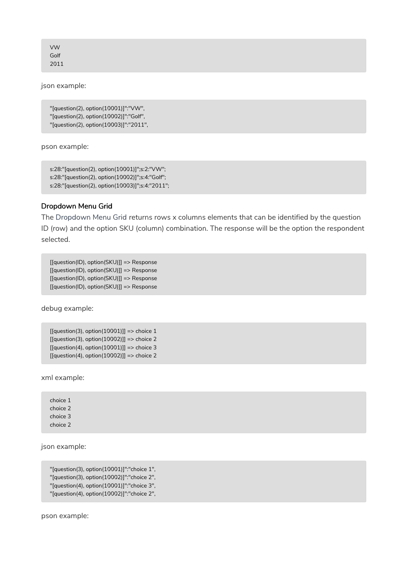VW Golf 2011

json example:

"[question(2), option(10001)]":"VW", "[question(2), option(10002)]":"Golf", "[question(2), option(10003)]":"2011",

pson example:

s:28:"[question(2), option(10001)]";s:2:"VW"; s:28:"[question(2), option(10002)]";s:4:"Golf"; s:28:"[question(2), option(10003)]";s:4:"2011";

# Dropdown Menu Grid

The Dropdown Menu Grid returns rows x columns elements that can be identified by the question ID (row) and the option SKU (column) combination. The response will be the option the respondent selected.

[[question(ID), option(SKU)]] => Response [[question(ID), option(SKU)]] => Response [[question(ID), option(SKU)]] => Response [[question(ID), option(SKU)]] => Response

debug example:

```
[[question(3), option(10001)]] => choice 1[[question(3), option(10002)]] => choice 2
[[question(4), option(10001)]] => choice 3[[question(4), option(10002)]] => choice 2
```
xml example:

choice 1 choice 2 choice 3 choice 2

json example:

```
"[question(3), option(10001)]":"choice 1",
"[question(3), option(10002)]":"choice 2",
"[question(4), option(10001)]":"choice 3",
"[question(4), option(10002)]":"choice 2",
```
pson example: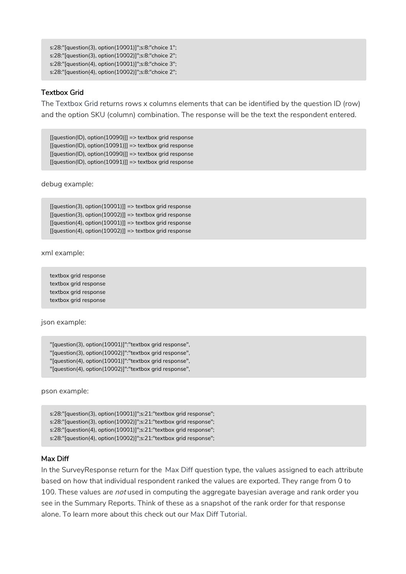```
s:28:"[question(3), option(10001)]";s:8:"choice 1";
s:28:"[question(3), option(10002)]";s:8:"choice 2";
s:28:"[question(4), option(10001)]";s:8:"choice 3";
s:28:"[question(4), option(10002)]";s:8:"choice 2";
```
# Textbox Grid

The Textbox Grid returns rows x columns elements that can be identified by the question ID (row) and the option SKU (column) combination. The response will be the text the respondent entered.

[[question(ID), option(10090)]] => textbox grid response [[question(ID), option(10091)]] => textbox grid response [[question(ID), option(10090)]] => textbox grid response [[question(ID), option(10091)]] => textbox grid response

debug example:

 $[$ [question(3), option(10001)]] => textbox grid response  $[[question(3), option(10002)]] => textbox grid response$  $[[question(4), option(10001)]] => textbox grid response$  $[[question(4), option(10002)]] => textbox grid response$ 

xml example:

textbox grid response textbox grid response textbox grid response textbox grid response

json example:

"[question(3), option(10001)]":"textbox grid response", "[question(3), option(10002)]":"textbox grid response", "[question(4), option(10001)]":"textbox grid response", "[question(4), option(10002)]":"textbox grid response",

pson example:

s:28:"[question(3), option(10001)]";s:21:"textbox grid response"; s:28:"[question(3), option(10002)]";s:21:"textbox grid response"; s:28:"[question(4), option(10001)]";s:21:"textbox grid response"; s:28:"[question(4), option(10002)]";s:21:"textbox grid response";

#### Max Diff

In the SurveyResponse return for the Max Diff question type, the values assigned to each attribute based on how that individual respondent ranked the values are exported. They range from 0 to 100. These values are *not* used in computing the aggregate bayesian average and rank order you see in the Summary Reports. Think of these as a snapshot of the rank order for that response alone. To learn more about this check out our Max Diff Tutorial.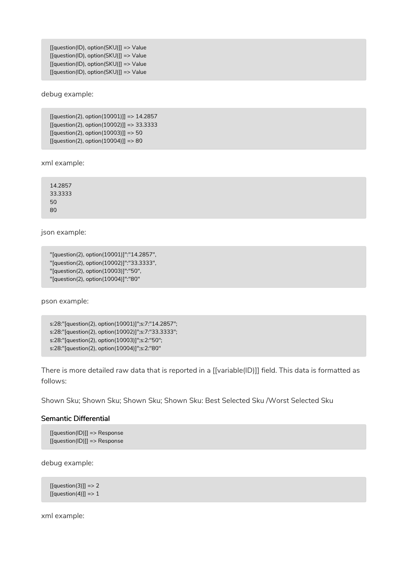[[question(ID), option(SKU)]] => Value [[question(ID), option(SKU)]] => Value [[question(ID), option(SKU)]] => Value [[question(ID), option(SKU)]] => Value

debug example:

 $[equestion(2), option(10001)] = > 14.2857$ [[question(2), option(10002)]] => 33.3333 [[question(2), option(10003)]] => 50  $[[question(2), option(10004)]] => 80$ 

xml example:

14.2857 33.3333 50 80

json example:

```
"[question(2), option(10001)]":"14.2857",
"[question(2), option(10002)]":"33.3333",
"[question(2), option(10003)]":"50",
"[question(2), option(10004)]":"80"
```
pson example:

```
s:28:"[question(2), option(10001)]";s:7:"14.2857";
s:28:"[question(2), option(10002)]";s:7:"33.3333";
s:28:"[question(2), option(10003)]";s:2:"50";
s:28:"[question(2), option(10004)]";s:2:"80"
```
There is more detailed raw data that is reported in a [[variable(ID)]] field. This data is formatted as follows:

Shown Sku; Shown Sku; Shown Sku; Shown Sku: Best Selected Sku /Worst Selected Sku

#### Semantic Differential

```
[[question(ID)]] => Response
[[question(ID)]] => Response
```
debug example:

 $[[question(3)]] => 2$  $[[question(4)]] => 1$ 

xml example: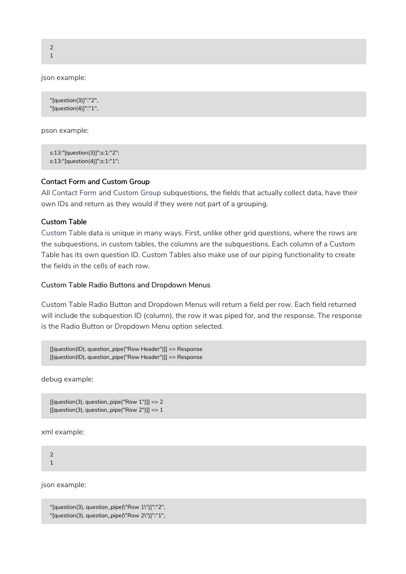2 1

json example:

```
"[question(3)]":"2",
"[question(4)]":"1",
```
pson example:

s:13:"[question(3)]";s:1:"2"; s:13:"[question(4)]";s:1:"1";

#### Contact Form and Custom Group

All Contact Form and Custom Group subquestions, the fields that actually collect data, have their own IDs and return as they would if they were not part of a grouping.

# Custom Table

Custom Table data is unique in many ways. First, unlike other grid questions, where the rows are the subquestions, in custom tables, the columns are the subquestions. Each column of a Custom Table has its own question ID. Custom Tables also make use of our piping functionality to create the fields in the cells of each row.

#### Custom Table Radio Buttons and Dropdown Menus

Custom Table Radio Button and Dropdown Menus will return a field per row. Each field returned will include the subquestion ID (column), the row it was piped for, and the response. The response is the Radio Button or Dropdown Menu option selected.

[[question(ID), question\_pipe("Row Header")]] => Response [[question(ID), question\_pipe("Row Header")]] => Response

debug example:

```
[[question(3), question_pipe("Row 1")]] => 2
[[question(3), question\_pipe("Row 2"]]] => 1
```
xml example:

2 1

json example:

```
"[question(3), question_pipe(\"Row 1\")]":"2",
"[question(3), question_pipe(\"Row 2\")]":"1",
```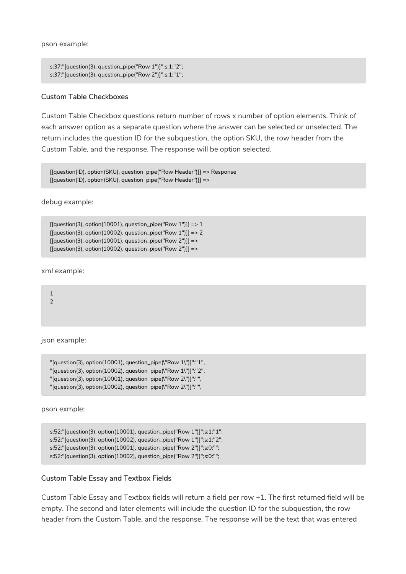pson example:

```
s:37:"[question(3), question_pipe("Row 1")]";s:1:"2";
s:37:"[question(3), question_pipe("Row 2")]";s:1:"1";
```
#### Custom Table Checkboxes

Custom Table Checkbox questions return number of rows x number of option elements. Think of each answer option as a separate question where the answer can be selected or unselected. The return includes the question ID for the subquestion, the option SKU, the row header from the Custom Table, and the response. The response will be option selected.

[[question(ID), option(SKU), question\_pipe("Row Header")]] => Response [[question(ID), option(SKU), question\_pipe("Row Header")]] =>

debug example:

```
[[question(3), option(10001), question\_pipe("Row 1"]] => 1[[question(3), option(10002), question_pipe("Row 1")]] => 2
[[question(3), option(10001), question\_pipe("Row 2"]]] =>[[question(3), option(10002), question\_pipe("Row 2"]] =>
```
xml example:

1 2

json example:

```
"[question(3), option(10001), question_pipe(\"Row 1\")]":"1",
"[question(3), option(10002), question_pipe(\"Row 1\")]":"2",
"[question(3), option(10001), question_pipe(\"Row 2\")]":"",
"[question(3), option(10002), question_pipe(\"Row 2\")]":"",
```
pson exmple:

```
s:52:"[question(3), option(10001), question_pipe("Row 1")]";s:1:"1";
s:52:"[question(3), option(10002), question_pipe("Row 1")]";s:1:"2";
s:52:"[question(3), option(10001), question_pipe("Row 2")]";s:0:"";
s:52:"[question(3), option(10002), question_pipe("Row 2")]";s:0:"";
```
#### Custom Table Essay and Textbox Fields

Custom Table Essay and Textbox fields will return a field per row +1. The first returned field will be empty. The second and later elements will include the question ID for the subquestion, the row header from the Custom Table, and the response. The response will be the text that was entered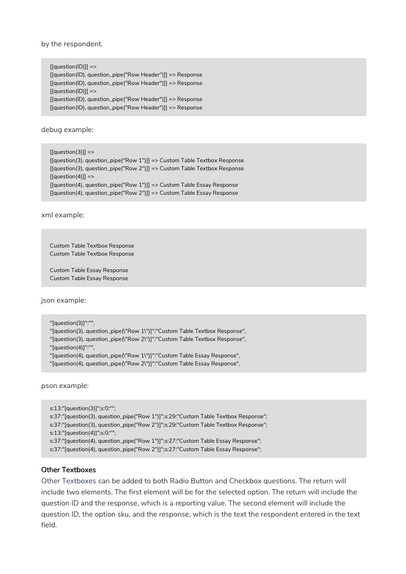by the respondent.

[[question(ID)]] => [[question(ID), question\_pipe("Row Header")]] => Response [[question(ID), question\_pipe("Row Header")]] => Response  $[$ [question(ID)]] => [[question(ID), question\_pipe("Row Header")]] => Response [[question(ID), question\_pipe("Row Header")]] => Response

debug example:

 $[[question(3)]]$  => [[question(3), question\_pipe("Row 1")]] => Custom Table Textbox Response [[question(3), question\_pipe("Row 2")]] => Custom Table Textbox Response  $[equestion(4)]]$  => [[question(4), question\_pipe("Row 1")]] => Custom Table Essay Response [[question(4), question\_pipe("Row 2")]] => Custom Table Essay Response

xml example:

```
Custom Table Textbox Response
Custom Table Textbox Response
```
Custom Table Essay Response Custom Table Essay Response

json example:

```
"[question(3)]":"",
"[question(3), question_pipe(\"Row 1\")]":"Custom Table Textbox Response",
"[question(3), question_pipe(\"Row 2\")]":"Custom Table Textbox Response",
"[question(4)]":"",
```
"[question(4), question\_pipe(\"Row 1\")]":"Custom Table Essay Response",

"[question(4), question\_pipe(\"Row 2\")]":"Custom Table Essay Response",

pson example:

```
s:13:"[question(3)]";s:0:"";
s:37:"[question(3), question_pipe("Row 1")]";s:29:"Custom Table Textbox Response";
s:37:"[question(3), question_pipe("Row 2")]";s:29:"Custom Table Textbox Response";
s:13:"[question(4)]";s:0:"";
s:37:"[question(4), question_pipe("Row 1")]";s:27:"Custom Table Essay Response";
s:37:"[question(4), question_pipe("Row 2")]";s:27:"Custom Table Essay Response";
```
#### Other Textboxes

Other Textboxes can be added to both Radio Button and Checkbox questions. The return will include two elements. The first element will be for the selected option. The return will include the question ID and the response, which is a reporting value. The second element will include the question ID, the option sku, and the response, which is the text the respondent entered in the text field.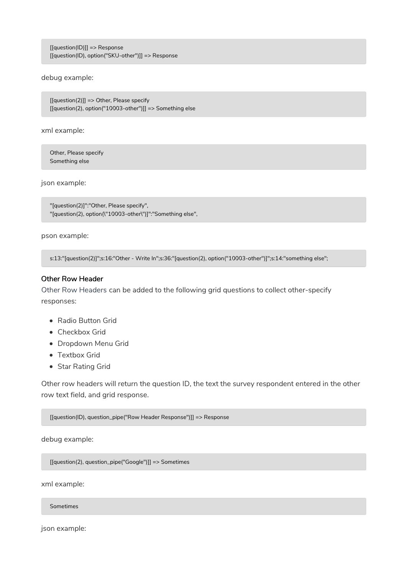[[question(ID)]] => Response [[question(ID), option("SKU-other")]] => Response

debug example:

[[question(2)]] => Other, Please specify [[question(2), option("10003-other")]] => Something else

xml example:

Other, Please specify Something else

json example:

"[question(2)]":"Other, Please specify", "[question(2), option(\"10003-other\")]":"Something else",

pson example:

s:13:"[question(2)]";s:16:"Other - Write In";s:36:"[question(2), option("10003-other")]";s:14:"something else";

#### Other Row Header

Other Row Headers can be added to the following grid questions to collect other-specify responses:

- Radio Button Grid
- Checkbox Grid
- Dropdown Menu Grid
- Textbox Grid
- Star Rating Grid

Other row headers will return the question ID, the text the survey respondent entered in the other row text field, and grid response.

[[question(ID), question\_pipe("Row Header Response")]] => Response

debug example:

[[question(2), question\_pipe("Google")]] => Sometimes

xml example:

Sometimes

json example: